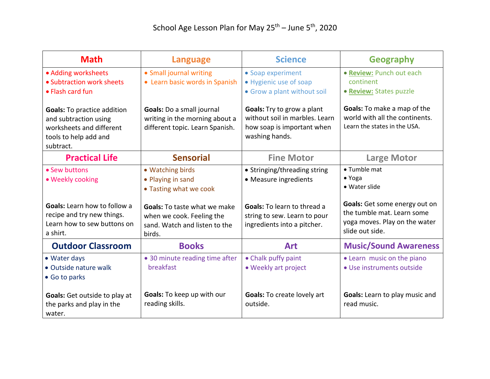| <b>Math</b>                                                                                                                           | <b>Language</b>                                                                                                                                                      | <b>Science</b>                                                                                                                                             | <b>Geography</b>                                                                                                                               |
|---------------------------------------------------------------------------------------------------------------------------------------|----------------------------------------------------------------------------------------------------------------------------------------------------------------------|------------------------------------------------------------------------------------------------------------------------------------------------------------|------------------------------------------------------------------------------------------------------------------------------------------------|
| • Adding worksheets<br>• Subtraction work sheets<br>• Flash card fun                                                                  | • Small journal writing<br>• Learn basic words in Spanish                                                                                                            | • Soap experiment<br>• Hygienic use of soap<br>• Grow a plant without soil                                                                                 | · Review: Punch out each<br>continent<br>• Review: States puzzle                                                                               |
| <b>Goals:</b> To practice addition<br>and subtraction using<br>worksheets and different<br>tools to help add and<br>subtract.         | Goals: Do a small journal<br>writing in the morning about a<br>different topic. Learn Spanish.                                                                       | <b>Goals:</b> Try to grow a plant<br>without soil in marbles. Learn<br>how soap is important when<br>washing hands.                                        | Goals: To make a map of the<br>world with all the continents.<br>Learn the states in the USA.                                                  |
| <b>Practical Life</b>                                                                                                                 | <b>Sensorial</b>                                                                                                                                                     | <b>Fine Motor</b>                                                                                                                                          | <b>Large Motor</b>                                                                                                                             |
| • Sew buttons<br>• Weekly cooking<br><b>Goals:</b> Learn how to follow a<br>recipe and try new things.<br>Learn how to sew buttons on | • Watching birds<br>• Playing in sand<br>• Tasting what we cook<br><b>Goals:</b> To taste what we make<br>when we cook. Feeling the<br>sand. Watch and listen to the | • Stringing/threading string<br>• Measure ingredients<br><b>Goals:</b> To learn to thread a<br>string to sew. Learn to pour<br>ingredients into a pitcher. | • Tumble mat<br>• Yoga<br>• Water slide<br><b>Goals:</b> Get some energy out on<br>the tumble mat. Learn some<br>yoga moves. Play on the water |
| a shirt.<br><b>Outdoor Classroom</b>                                                                                                  | birds.<br><b>Books</b>                                                                                                                                               | <b>Art</b>                                                                                                                                                 | slide out side.                                                                                                                                |
| • Water days<br>• Outside nature walk<br>• Go to parks                                                                                | • 30 minute reading time after<br>breakfast                                                                                                                          | • Chalk puffy paint<br>• Weekly art project                                                                                                                | <b>Music/Sound Awareness</b><br>• Learn music on the piano<br>· Use instruments outside                                                        |
| <b>Goals:</b> Get outside to play at<br>the parks and play in the<br>water.                                                           | Goals: To keep up with our<br>reading skills.                                                                                                                        | <b>Goals:</b> To create lovely art<br>outside.                                                                                                             | Goals: Learn to play music and<br>read music.                                                                                                  |